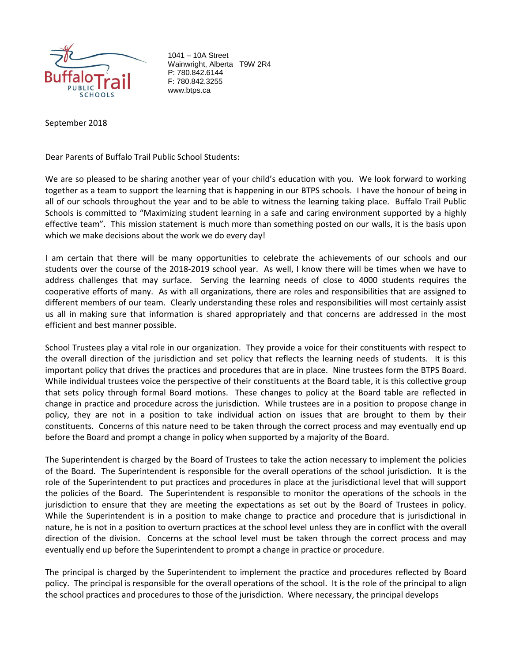

1041 – 10A Street Wainwright, Alberta T9W 2R4 P: 780.842.6144 F: 780.842.3255 www.btps.ca

September 2018

Dear Parents of Buffalo Trail Public School Students:

We are so pleased to be sharing another year of your child's education with you. We look forward to working together as a team to support the learning that is happening in our BTPS schools. I have the honour of being in all of our schools throughout the year and to be able to witness the learning taking place. Buffalo Trail Public Schools is committed to "Maximizing student learning in a safe and caring environment supported by a highly effective team". This mission statement is much more than something posted on our walls, it is the basis upon which we make decisions about the work we do every day!

I am certain that there will be many opportunities to celebrate the achievements of our schools and our students over the course of the 2018-2019 school year. As well, I know there will be times when we have to address challenges that may surface. Serving the learning needs of close to 4000 students requires the cooperative efforts of many. As with all organizations, there are roles and responsibilities that are assigned to different members of our team. Clearly understanding these roles and responsibilities will most certainly assist us all in making sure that information is shared appropriately and that concerns are addressed in the most efficient and best manner possible.

School Trustees play a vital role in our organization. They provide a voice for their constituents with respect to the overall direction of the jurisdiction and set policy that reflects the learning needs of students. It is this important policy that drives the practices and procedures that are in place. Nine trustees form the BTPS Board. While individual trustees voice the perspective of their constituents at the Board table, it is this collective group that sets policy through formal Board motions. These changes to policy at the Board table are reflected in change in practice and procedure across the jurisdiction. While trustees are in a position to propose change in policy, they are not in a position to take individual action on issues that are brought to them by their constituents. Concerns of this nature need to be taken through the correct process and may eventually end up before the Board and prompt a change in policy when supported by a majority of the Board.

The Superintendent is charged by the Board of Trustees to take the action necessary to implement the policies of the Board. The Superintendent is responsible for the overall operations of the school jurisdiction. It is the role of the Superintendent to put practices and procedures in place at the jurisdictional level that will support the policies of the Board. The Superintendent is responsible to monitor the operations of the schools in the jurisdiction to ensure that they are meeting the expectations as set out by the Board of Trustees in policy. While the Superintendent is in a position to make change to practice and procedure that is jurisdictional in nature, he is not in a position to overturn practices at the school level unless they are in conflict with the overall direction of the division. Concerns at the school level must be taken through the correct process and may eventually end up before the Superintendent to prompt a change in practice or procedure.

The principal is charged by the Superintendent to implement the practice and procedures reflected by Board policy. The principal is responsible for the overall operations of the school. It is the role of the principal to align the school practices and procedures to those of the jurisdiction. Where necessary, the principal develops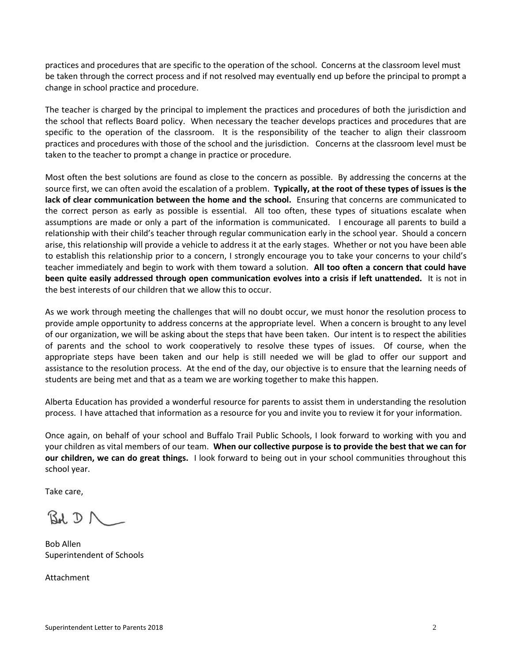practices and procedures that are specific to the operation of the school. Concerns at the classroom level must be taken through the correct process and if not resolved may eventually end up before the principal to prompt a change in school practice and procedure.

The teacher is charged by the principal to implement the practices and procedures of both the jurisdiction and the school that reflects Board policy. When necessary the teacher develops practices and procedures that are specific to the operation of the classroom. It is the responsibility of the teacher to align their classroom practices and procedures with those of the school and the jurisdiction. Concerns at the classroom level must be taken to the teacher to prompt a change in practice or procedure.

Most often the best solutions are found as close to the concern as possible. By addressing the concerns at the source first, we can often avoid the escalation of a problem. **Typically, at the root of these types of issues is the lack of clear communication between the home and the school.** Ensuring that concerns are communicated to the correct person as early as possible is essential. All too often, these types of situations escalate when assumptions are made or only a part of the information is communicated. I encourage all parents to build a relationship with their child's teacher through regular communication early in the school year. Should a concern arise, this relationship will provide a vehicle to address it at the early stages. Whether or not you have been able to establish this relationship prior to a concern, I strongly encourage you to take your concerns to your child's teacher immediately and begin to work with them toward a solution. **All too often a concern that could have been quite easily addressed through open communication evolves into a crisis if left unattended.** It is not in the best interests of our children that we allow this to occur.

As we work through meeting the challenges that will no doubt occur, we must honor the resolution process to provide ample opportunity to address concerns at the appropriate level. When a concern is brought to any level of our organization, we will be asking about the steps that have been taken. Our intent is to respect the abilities of parents and the school to work cooperatively to resolve these types of issues. Of course, when the appropriate steps have been taken and our help is still needed we will be glad to offer our support and assistance to the resolution process. At the end of the day, our objective is to ensure that the learning needs of students are being met and that as a team we are working together to make this happen.

Alberta Education has provided a wonderful resource for parents to assist them in understanding the resolution process. I have attached that information as a resource for you and invite you to review it for your information.

Once again, on behalf of your school and Buffalo Trail Public Schools, I look forward to working with you and your children as vital members of our team. **When our collective purpose is to provide the best that we can for our children, we can do great things.** I look forward to being out in your school communities throughout this school year.

Take care,

 $Bd, D \wedge$ 

Bob Allen Superintendent of Schools

Attachment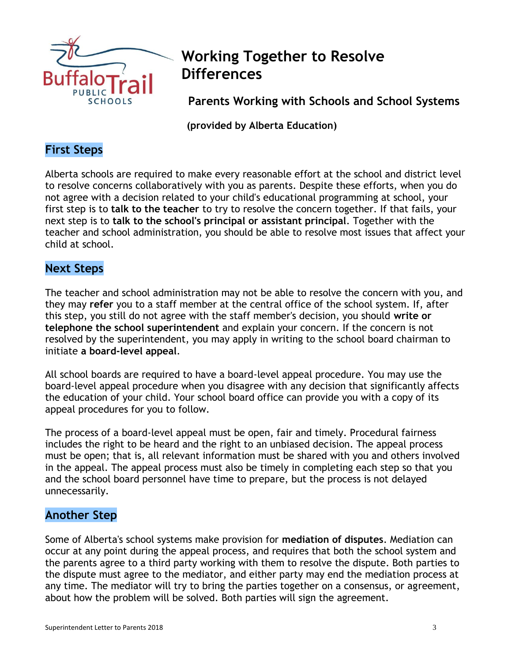

# **Working Together to Resolve Differences**

**Parents Working with Schools and School Systems**

 **(provided by Alberta Education)**

## **First Steps**

Alberta schools are required to make every reasonable effort at the school and district level to resolve concerns collaboratively with you as parents. Despite these efforts, when you do not agree with a decision related to your child's educational programming at school, your first step is to **talk to the teacher** to try to resolve the concern together. If that fails, your next step is to **talk to the school's principal or assistant principal**. Together with the teacher and school administration, you should be able to resolve most issues that affect your child at school.

## **Next Steps**

The teacher and school administration may not be able to resolve the concern with you, and they may **refer** you to a staff member at the central office of the school system. If, after this step, you still do not agree with the staff member's decision, you should **write or telephone the school superintendent** and explain your concern. If the concern is not resolved by the superintendent, you may apply in writing to the school board chairman to initiate **a board-level appeal**.

All school boards are required to have a board-level appeal procedure. You may use the board-level appeal procedure when you disagree with any decision that significantly affects the education of your child. Your school board office can provide you with a copy of its appeal procedures for you to follow.

The process of a board-level appeal must be open, fair and timely. Procedural fairness includes the right to be heard and the right to an unbiased decision. The appeal process must be open; that is, all relevant information must be shared with you and others involved in the appeal. The appeal process must also be timely in completing each step so that you and the school board personnel have time to prepare, but the process is not delayed unnecessarily.

#### **Another Step**

Some of Alberta's school systems make provision for **mediation of disputes**. Mediation can occur at any point during the appeal process, and requires that both the school system and the parents agree to a third party working with them to resolve the dispute. Both parties to the dispute must agree to the mediator, and either party may end the mediation process at any time. The mediator will try to bring the parties together on a consensus, or agreement, about how the problem will be solved. Both parties will sign the agreement.